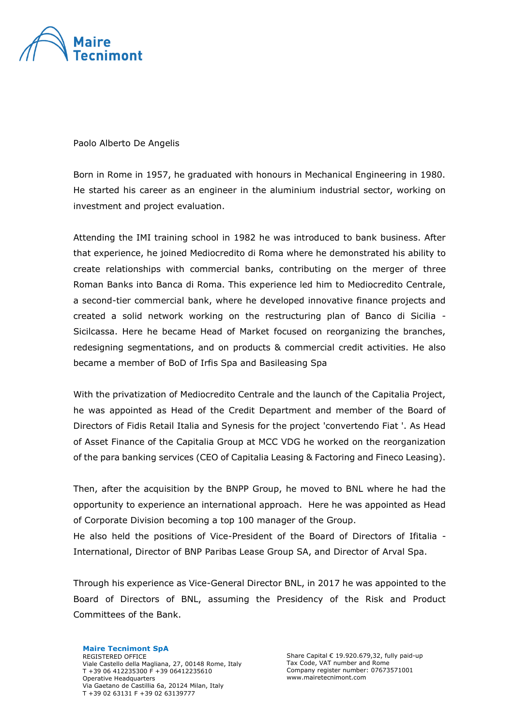

Paolo Alberto De Angelis

Born in Rome in 1957, he graduated with honours in Mechanical Engineering in 1980. He started his career as an engineer in the aluminium industrial sector, working on investment and project evaluation.

Attending the IMI training school in 1982 he was introduced to bank business. After that experience, he joined Mediocredito di Roma where he demonstrated his ability to create relationships with commercial banks, contributing on the merger of three Roman Banks into Banca di Roma. This experience led him to Mediocredito Centrale, a second-tier commercial bank, where he developed innovative finance projects and created a solid network working on the restructuring plan of Banco di Sicilia - Sicilcassa. Here he became Head of Market focused on reorganizing the branches, redesigning segmentations, and on products & commercial credit activities. He also became a member of BoD of Irfis Spa and Basileasing Spa

With the privatization of Mediocredito Centrale and the launch of the Capitalia Project, he was appointed as Head of the Credit Department and member of the Board of Directors of Fidis Retail Italia and Synesis for the project 'convertendo Fiat '. As Head of Asset Finance of the Capitalia Group at MCC VDG he worked on the reorganization of the para banking services (CEO of Capitalia Leasing & Factoring and Fineco Leasing).

Then, after the acquisition by the BNPP Group, he moved to BNL where he had the opportunity to experience an international approach. Here he was appointed as Head of Corporate Division becoming a top 100 manager of the Group.

He also held the positions of Vice-President of the Board of Directors of Ifitalia - International, Director of BNP Paribas Lease Group SA, and Director of Arval Spa.

Through his experience as Vice-General Director BNL, in 2017 he was appointed to the Board of Directors of BNL, assuming the Presidency of the Risk and Product Committees of the Bank.